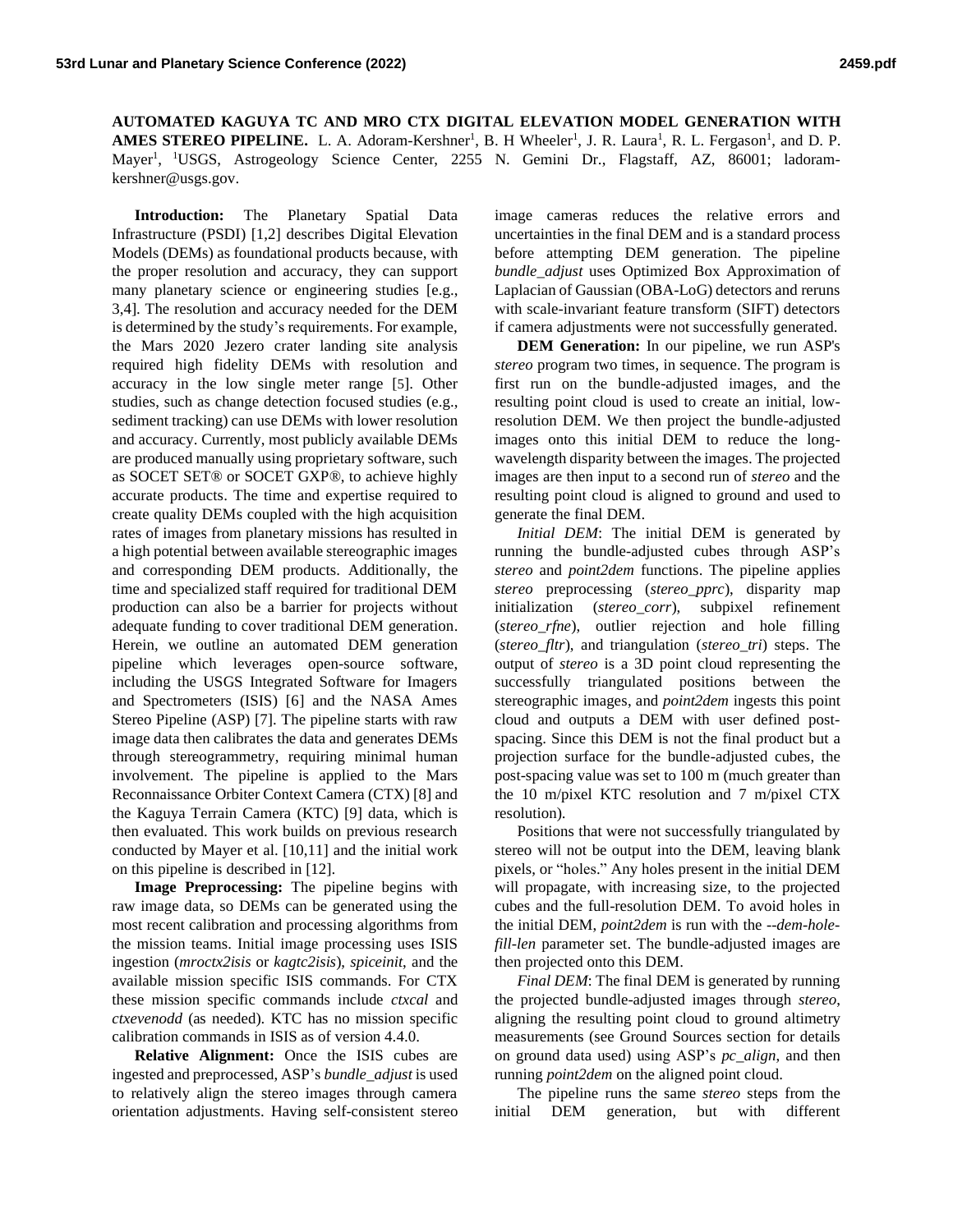**AUTOMATED KAGUYA TC AND MRO CTX DIGITAL ELEVATION MODEL GENERATION WITH**  AMES STEREO PIPELINE. L. A. Adoram-Kershner<sup>1</sup>, B. H Wheeler<sup>1</sup>, J. R. Laura<sup>1</sup>, R. L. Fergason<sup>1</sup>, and D. P. Mayer<sup>1</sup>, <sup>1</sup>USGS, Astrogeology Science Center, 2255 N. Gemini Dr., Flagstaff, AZ, 86001; ladoramkershner@usgs.gov.

**Introduction:** The Planetary Spatial Data Infrastructure (PSDI) [1,2] describes Digital Elevation Models (DEMs) as foundational products because, with the proper resolution and accuracy, they can support many planetary science or engineering studies [e.g., 3,4]. The resolution and accuracy needed for the DEM is determined by the study's requirements. For example, the Mars 2020 Jezero crater landing site analysis required high fidelity DEMs with resolution and accuracy in the low single meter range [5]. Other studies, such as change detection focused studies (e.g., sediment tracking) can use DEMs with lower resolution and accuracy. Currently, most publicly available DEMs are produced manually using proprietary software, such as SOCET SET® or SOCET GXP®, to achieve highly accurate products. The time and expertise required to create quality DEMs coupled with the high acquisition rates of images from planetary missions has resulted in a high potential between available stereographic images and corresponding DEM products. Additionally, the time and specialized staff required for traditional DEM production can also be a barrier for projects without adequate funding to cover traditional DEM generation. Herein, we outline an automated DEM generation pipeline which leverages open-source software, including the USGS Integrated Software for Imagers and Spectrometers (ISIS) [6] and the NASA Ames Stereo Pipeline (ASP) [7]. The pipeline starts with raw image data then calibrates the data and generates DEMs through stereogrammetry, requiring minimal human involvement. The pipeline is applied to the Mars Reconnaissance Orbiter Context Camera (CTX) [8] and the Kaguya Terrain Camera (KTC) [9] data, which is then evaluated. This work builds on previous research conducted by Mayer et al. [10,11] and the initial work on this pipeline is described in [12].

**Image Preprocessing:** The pipeline begins with raw image data, so DEMs can be generated using the most recent calibration and processing algorithms from the mission teams. Initial image processing uses ISIS ingestion (*mroctx2isis* or *kagtc2isis*), *spiceinit*, and the available mission specific ISIS commands. For CTX these mission specific commands include *ctxcal* and *ctxevenodd* (as needed). KTC has no mission specific calibration commands in ISIS as of version 4.4.0.

**Relative Alignment:** Once the ISIS cubes are ingested and preprocessed, ASP's *bundle\_adjust*is used to relatively align the stereo images through camera orientation adjustments. Having self-consistent stereo image cameras reduces the relative errors and uncertainties in the final DEM and is a standard process before attempting DEM generation. The pipeline *bundle\_adjust* uses Optimized Box Approximation of Laplacian of Gaussian (OBA-LoG) detectors and reruns with scale-invariant feature transform (SIFT) detectors if camera adjustments were not successfully generated.

**DEM Generation:** In our pipeline, we run ASP's *stereo* program two times, in sequence. The program is first run on the bundle-adjusted images, and the resulting point cloud is used to create an initial, lowresolution DEM. We then project the bundle-adjusted images onto this initial DEM to reduce the longwavelength disparity between the images. The projected images are then input to a second run of *stereo* and the resulting point cloud is aligned to ground and used to generate the final DEM.

*Initial DEM*: The initial DEM is generated by running the bundle-adjusted cubes through ASP's *stereo* and *point2dem* functions. The pipeline applies *stereo* preprocessing (*stereo\_pprc*), disparity map initialization (*stereo\_corr*), subpixel refinement (*stereo\_rfne*), outlier rejection and hole filling (*stereo\_fltr*), and triangulation (*stereo\_tri*) steps. The output of *stereo* is a 3D point cloud representing the successfully triangulated positions between the stereographic images, and *point2dem* ingests this point cloud and outputs a DEM with user defined postspacing. Since this DEM is not the final product but a projection surface for the bundle-adjusted cubes, the post-spacing value was set to 100 m (much greater than the 10 m/pixel KTC resolution and 7 m/pixel CTX resolution).

Positions that were not successfully triangulated by stereo will not be output into the DEM, leaving blank pixels, or "holes." Any holes present in the initial DEM will propagate, with increasing size, to the projected cubes and the full-resolution DEM. To avoid holes in the initial DEM, *point2dem* is run with the --*dem-holefill-len* parameter set. The bundle-adjusted images are then projected onto this DEM.

*Final DEM*: The final DEM is generated by running the projected bundle-adjusted images through *stereo*, aligning the resulting point cloud to ground altimetry measurements (see Ground Sources section for details on ground data used) using ASP's *pc\_align*, and then running *point2dem* on the aligned point cloud.

The pipeline runs the same *stereo* steps from the initial DEM generation, but with different